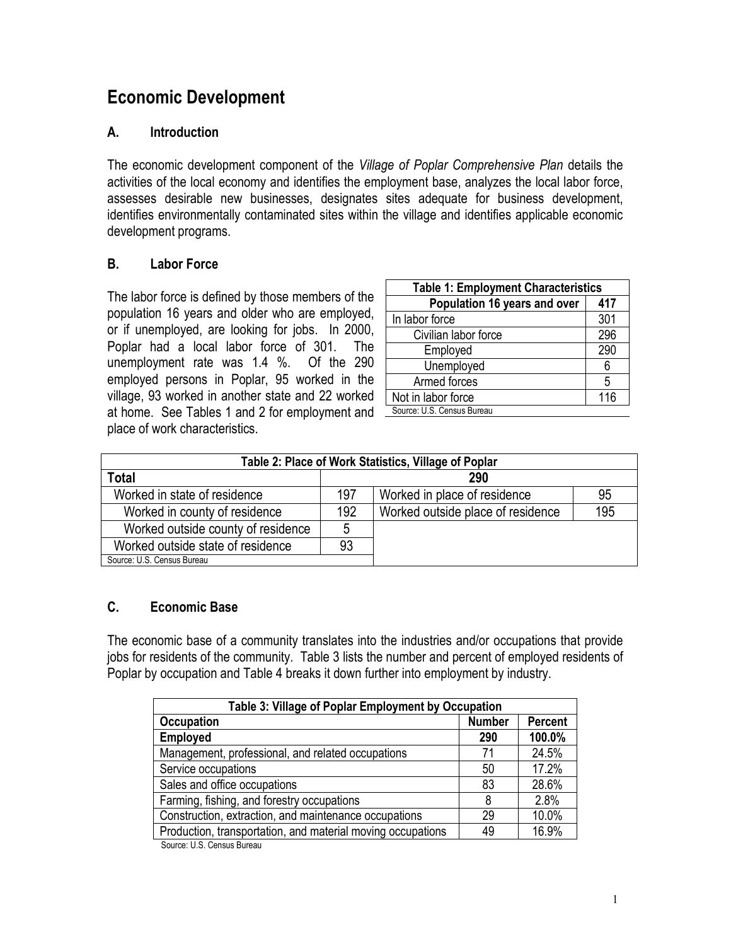# **Economic Development**

## **A. Introduction**

The economic development component of the *Village of Poplar Comprehensive Plan* details the activities of the local economy and identifies the employment base, analyzes the local labor force, assesses desirable new businesses, designates sites adequate for business development, identifies environmentally contaminated sites within the village and identifies applicable economic development programs.

## **B. Labor Force**

The labor force is defined by those members of the population 16 years and older who are employed, or if unemployed, are looking for jobs. In 2000, Poplar had a local labor force of 301. The unemployment rate was 1.4 %. Of the 290 employed persons in Poplar, 95 worked in the village, 93 worked in another state and 22 worked at home. See Tables 1 and 2 for employment and place of work characteristics.

| <b>Table 1: Employment Characteristics</b> |     |  |
|--------------------------------------------|-----|--|
| Population 16 years and over               | 417 |  |
| In labor force                             | 301 |  |
| Civilian labor force                       | 296 |  |
| Employed                                   | 290 |  |
| Unemployed                                 | 6   |  |
| Armed forces                               | 5   |  |
| Not in labor force                         | 116 |  |
| Source: U.S. Census Bureau                 |     |  |

| Table 2: Place of Work Statistics, Village of Poplar |     |                                   |     |
|------------------------------------------------------|-----|-----------------------------------|-----|
| <b>Total</b>                                         |     | 290                               |     |
| Worked in state of residence                         | 197 | Worked in place of residence      | 95  |
| Worked in county of residence                        | 192 | Worked outside place of residence | 195 |
| Worked outside county of residence                   | 5   |                                   |     |
| Worked outside state of residence                    | 93  |                                   |     |
| Source: U.S. Census Bureau                           |     |                                   |     |

# **C. Economic Base**

The economic base of a community translates into the industries and/or occupations that provide jobs for residents of the community. Table 3 lists the number and percent of employed residents of Poplar by occupation and Table 4 breaks it down further into employment by industry.

| Table 3: Village of Poplar Employment by Occupation         |               |                |  |
|-------------------------------------------------------------|---------------|----------------|--|
| <b>Occupation</b>                                           | <b>Number</b> | <b>Percent</b> |  |
| <b>Employed</b>                                             | 290           | 100.0%         |  |
| Management, professional, and related occupations           | 71            | 24.5%          |  |
| Service occupations                                         | 50            | 17.2%          |  |
| Sales and office occupations                                | 83            | 28.6%          |  |
| Farming, fishing, and forestry occupations                  | 8             | 2.8%           |  |
| Construction, extraction, and maintenance occupations<br>29 |               | 10.0%          |  |
| Production, transportation, and material moving occupations | 49            | 16.9%          |  |
| Course II C. Concus Dumou                                   |               |                |  |

Source: U.S. Census Bureau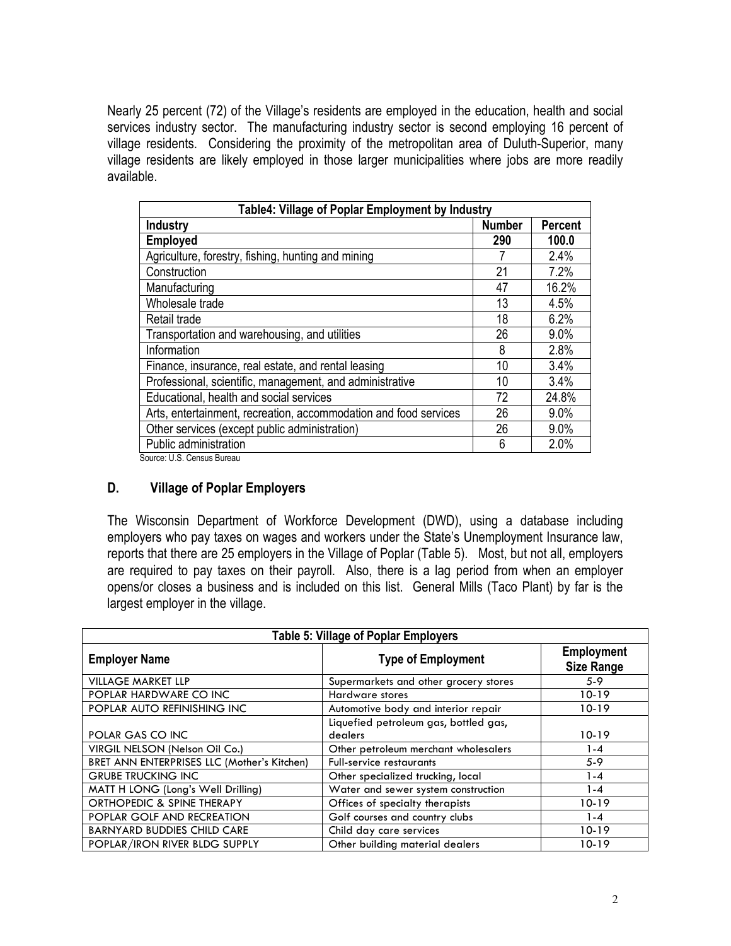Nearly 25 percent (72) of the Village's residents are employed in the education, health and social services industry sector. The manufacturing industry sector is second employing 16 percent of village residents. Considering the proximity of the metropolitan area of Duluth-Superior, many village residents are likely employed in those larger municipalities where jobs are more readily available.

| Table4: Village of Poplar Employment by Industry                 |               |                |
|------------------------------------------------------------------|---------------|----------------|
| <b>Industry</b>                                                  | <b>Number</b> | <b>Percent</b> |
| <b>Employed</b>                                                  | 290           | 100.0          |
| Agriculture, forestry, fishing, hunting and mining               |               | 2.4%           |
| Construction                                                     | 21            | 7.2%           |
| Manufacturing                                                    | 47            | 16.2%          |
| Wholesale trade                                                  | 13            | 4.5%           |
| Retail trade                                                     | 18            | 6.2%           |
| Transportation and warehousing, and utilities                    | 26            | 9.0%           |
| Information                                                      | 8             | 2.8%           |
| Finance, insurance, real estate, and rental leasing              | 10            | 3.4%           |
| Professional, scientific, management, and administrative         | 10            | 3.4%           |
| Educational, health and social services                          | 72            | 24.8%          |
| Arts, entertainment, recreation, accommodation and food services | 26            | 9.0%           |
| Other services (except public administration)                    | 26            | 9.0%           |
| Public administration                                            | 6             | 2.0%           |

Source: U.S. Census Bureau

## **D. Village of Poplar Employers**

The Wisconsin Department of Workforce Development (DWD), using a database including employers who pay taxes on wages and workers under the State's Unemployment Insurance law, reports that there are 25 employers in the Village of Poplar (Table 5). Most, but not all, employers are required to pay taxes on their payroll. Also, there is a lag period from when an employer opens/or closes a business and is included on this list. General Mills (Taco Plant) by far is the largest employer in the village.

| <b>Table 5: Village of Poplar Employers</b> |                                                  |                                        |
|---------------------------------------------|--------------------------------------------------|----------------------------------------|
| <b>Employer Name</b>                        | <b>Type of Employment</b>                        | <b>Employment</b><br><b>Size Range</b> |
| <b>VILLAGE MARKET LLP</b>                   | Supermarkets and other grocery stores            | $5-9$                                  |
| POPLAR HARDWARE CO INC                      | <b>Hardware stores</b>                           | 10-19                                  |
| POPLAR AUTO REFINISHING INC                 | Automotive body and interior repair              | 10-19                                  |
| POLAR GAS CO INC                            | Liquefied petroleum gas, bottled gas,<br>dealers | 10-19                                  |
| VIRGIL NELSON (Nelson Oil Co.)              | Other petroleum merchant wholesalers             | 1-4                                    |
| BRET ANN ENTERPRISES LLC (Mother's Kitchen) | <b>Full-service restaurants</b>                  | $5-9$                                  |
| <b>GRUBE TRUCKING INC</b>                   | Other specialized trucking, local                | 1-4                                    |
| MATT H LONG (Long's Well Drilling)          | Water and sewer system construction              | 1-4                                    |
| ORTHOPEDIC & SPINE THERAPY                  | Offices of specialty therapists                  | 10-19                                  |
| POPLAR GOLF AND RECREATION                  | Golf courses and country clubs                   | 1-4                                    |
| <b>BARNYARD BUDDIES CHILD CARE</b>          | Child day care services                          | $10 - 19$                              |
| POPLAR/IRON RIVER BLDG SUPPLY               | Other building material dealers                  | 10-19                                  |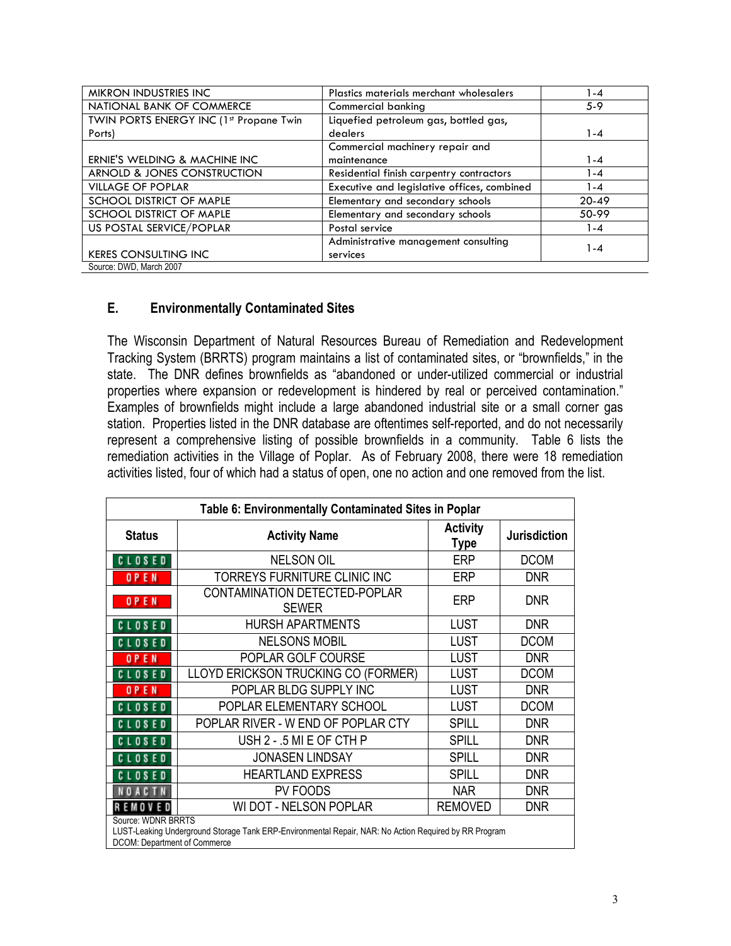| MIKRON INDUSTRIES INC                   | Plastics materials merchant wholesalers     | -4        |
|-----------------------------------------|---------------------------------------------|-----------|
| NATIONAL BANK OF COMMERCE               | Commercial banking                          | $5-9$     |
| TWIN PORTS ENERGY INC (1st Propane Twin | Liquefied petroleum gas, bottled gas,       |           |
| Ports)                                  | dealers                                     | 1-4       |
|                                         | Commercial machinery repair and             |           |
| ERNIE'S WELDING & MACHINE INC           | maintenance                                 | 1-4       |
| ARNOLD & JONES CONSTRUCTION             | Residential finish carpentry contractors    | l -4      |
| <b>VILLAGE OF POPLAR</b>                | Executive and legislative offices, combined | l -4      |
| SCHOOL DISTRICT OF MAPLE                | Elementary and secondary schools            | $20 - 49$ |
| SCHOOL DISTRICT OF MAPLE                | Elementary and secondary schools            | 50-99     |
| US POSTAL SERVICE/POPLAR                | Postal service                              | l -4      |
|                                         | Administrative management consulting        |           |
| <b>KERES CONSULTING INC</b>             | services                                    | 1 - 4     |
| Source: DWD, March 2007                 |                                             |           |

## **E. Environmentally Contaminated Sites**

The Wisconsin Department of Natural Resources Bureau of Remediation and Redevelopment Tracking System (BRRTS) program maintains a list of contaminated sites, or "brownfields," in the state. The DNR defines brownfields as "abandoned or under-utilized commercial or industrial properties where expansion or redevelopment is hindered by real or perceived contamination." Examples of brownfields might include a large abandoned industrial site or a small corner gas station. Properties listed in the DNR database are oftentimes self-reported, and do not necessarily represent a comprehensive listing of possible brownfields in a community. Table 6 lists the remediation activities in the Village of Poplar. As of February 2008, there were 18 remediation activities listed, four of which had a status of open, one no action and one removed from the list.

| Table 6: Environmentally Contaminated Sites in Poplar                                                                                                       |                                                        |                         |                     |
|-------------------------------------------------------------------------------------------------------------------------------------------------------------|--------------------------------------------------------|-------------------------|---------------------|
| <b>Status</b>                                                                                                                                               | <b>Activity Name</b>                                   | <b>Activity</b><br>Type | <b>Jurisdiction</b> |
| <b>CLOSED</b>                                                                                                                                               | <b>NELSON OIL</b>                                      | <b>ERP</b>              | <b>DCOM</b>         |
| OPEN                                                                                                                                                        | TORREYS FURNITURE CLINIC INC                           | <b>ERP</b>              | <b>DNR</b>          |
| <b>OPEN</b>                                                                                                                                                 | CONTAMINATION DETECTED-POPLAR<br><b>SEWER</b>          |                         | <b>DNR</b>          |
| <b>HURSH APARTMENTS</b><br><b>LUST</b><br><b>CLOSED</b>                                                                                                     |                                                        | <b>DNR</b>              |                     |
| <b>CLOSED</b>                                                                                                                                               | <b>NELSONS MOBIL</b><br><b>LUST</b>                    |                         | <b>DCOM</b>         |
| <b>OPEN</b>                                                                                                                                                 | POPLAR GOLF COURSE                                     | <b>LUST</b>             | <b>DNR</b>          |
| <b>CLOSED</b>                                                                                                                                               | LLOYD ERICKSON TRUCKING CO (FORMER)                    | <b>LUST</b>             | <b>DCOM</b>         |
| OPEN                                                                                                                                                        | POPLAR BLDG SUPPLY INC                                 | <b>LUST</b>             | <b>DNR</b>          |
| <b>CLOSED</b>                                                                                                                                               | POPLAR ELEMENTARY SCHOOL                               | <b>LUST</b>             | <b>DCOM</b>         |
| POPLAR RIVER - W END OF POPLAR CTY<br><b>SPILL</b><br><b>DNR</b><br><b>CLOSED</b>                                                                           |                                                        |                         |                     |
| <b>CLOSED</b>                                                                                                                                               | USH 2 - .5 MI E OF CTH P<br><b>SPILL</b><br><b>DNR</b> |                         |                     |
| <b>CLOSED</b>                                                                                                                                               | <b>JONASEN LINDSAY</b><br><b>SPILL</b><br><b>DNR</b>   |                         |                     |
| <b>HEARTLAND EXPRESS</b><br><b>SPILL</b><br><b>DNR</b><br><b>CLOSED</b>                                                                                     |                                                        |                         |                     |
| NOACTN                                                                                                                                                      | PV FOODS<br><b>NAR</b><br><b>DNR</b>                   |                         |                     |
| <b>REMOVED</b>                                                                                                                                              | WI DOT - NELSON POPLAR<br><b>REMOVED</b><br><b>DNR</b> |                         |                     |
| Source: WDNR BRRTS<br>LUST-Leaking Underground Storage Tank ERP-Environmental Repair, NAR: No Action Required by RR Program<br>DCOM: Department of Commerce |                                                        |                         |                     |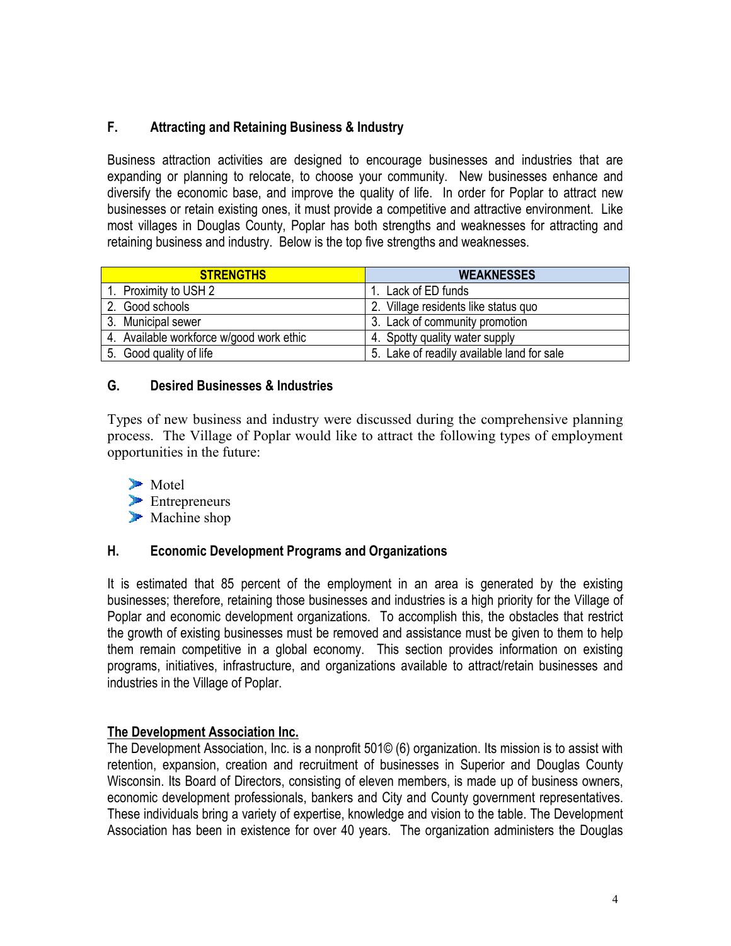# **F. Attracting and Retaining Business & Industry**

Business attraction activities are designed to encourage businesses and industries that are expanding or planning to relocate, to choose your community. New businesses enhance and diversify the economic base, and improve the quality of life. In order for Poplar to attract new businesses or retain existing ones, it must provide a competitive and attractive environment. Like most villages in Douglas County, Poplar has both strengths and weaknesses for attracting and retaining business and industry. Below is the top five strengths and weaknesses.

| <b>STRENGTHS</b>                         | <b>WEAKNESSES</b>                          |
|------------------------------------------|--------------------------------------------|
| 1. Proximity to USH 2                    | Lack of ED funds                           |
| 2. Good schools                          | 2. Village residents like status quo       |
| 3. Municipal sewer                       | 3. Lack of community promotion             |
| 4. Available workforce w/good work ethic | 4. Spotty quality water supply             |
| 5. Good quality of life                  | 5. Lake of readily available land for sale |

# **G. Desired Businesses & Industries**

Types of new business and industry were discussed during the comprehensive planning process. The Village of Poplar would like to attract the following types of employment opportunities in the future:



# **H. Economic Development Programs and Organizations**

It is estimated that 85 percent of the employment in an area is generated by the existing businesses; therefore, retaining those businesses and industries is a high priority for the Village of Poplar and economic development organizations. To accomplish this, the obstacles that restrict the growth of existing businesses must be removed and assistance must be given to them to help them remain competitive in a global economy. This section provides information on existing programs, initiatives, infrastructure, and organizations available to attract/retain businesses and industries in the Village of Poplar.

## **The Development Association Inc.**

The Development Association, Inc. is a nonprofit 501© (6) organization. Its mission is to assist with retention, expansion, creation and recruitment of businesses in Superior and Douglas County Wisconsin. Its Board of Directors, consisting of eleven members, is made up of business owners, economic development professionals, bankers and City and County government representatives. These individuals bring a variety of expertise, knowledge and vision to the table. The Development Association has been in existence for over 40 years. The organization administers the Douglas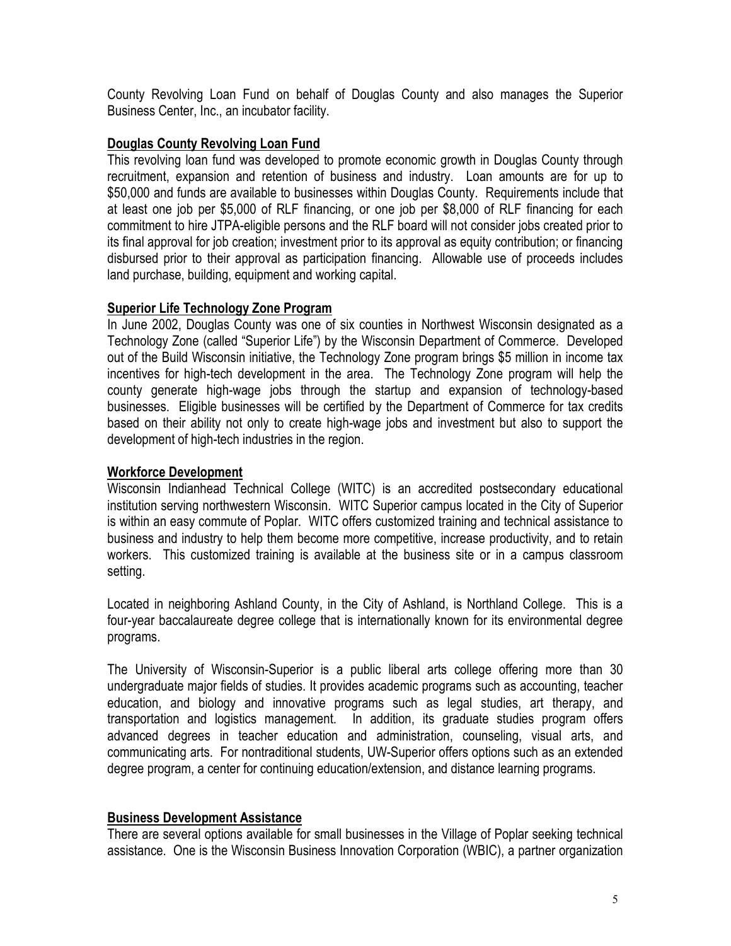County Revolving Loan Fund on behalf of Douglas County and also manages the Superior Business Center, Inc., an incubator facility.

### **Douglas County Revolving Loan Fund**

This revolving loan fund was developed to promote economic growth in Douglas County through recruitment, expansion and retention of business and industry. Loan amounts are for up to \$50,000 and funds are available to businesses within Douglas County. Requirements include that at least one job per \$5,000 of RLF financing, or one job per \$8,000 of RLF financing for each commitment to hire JTPA-eligible persons and the RLF board will not consider jobs created prior to its final approval for job creation; investment prior to its approval as equity contribution; or financing disbursed prior to their approval as participation financing. Allowable use of proceeds includes land purchase, building, equipment and working capital.

#### **Superior Life Technology Zone Program**

In June 2002, Douglas County was one of six counties in Northwest Wisconsin designated as a Technology Zone (called "Superior Life") by the Wisconsin Department of Commerce. Developed out of the Build Wisconsin initiative, the Technology Zone program brings \$5 million in income tax incentives for high-tech development in the area. The Technology Zone program will help the county generate high-wage jobs through the startup and expansion of technology-based businesses. Eligible businesses will be certified by the Department of Commerce for tax credits based on their ability not only to create high-wage jobs and investment but also to support the development of high-tech industries in the region.

#### **Workforce Development**

Wisconsin Indianhead Technical College (WITC) is an accredited postsecondary educational institution serving northwestern Wisconsin. WITC Superior campus located in the City of Superior is within an easy commute of Poplar. WITC offers customized training and technical assistance to business and industry to help them become more competitive, increase productivity, and to retain workers. This customized training is available at the business site or in a campus classroom setting.

Located in neighboring Ashland County, in the City of Ashland, is Northland College. This is a four-year baccalaureate degree college that is internationally known for its environmental degree programs.

The University of Wisconsin-Superior is a public liberal arts college offering more than 30 undergraduate major fields of studies. It provides academic programs such as accounting, teacher education, and biology and innovative programs such as legal studies, art therapy, and transportation and logistics management. In addition, its graduate studies program offers advanced degrees in teacher education and administration, counseling, visual arts, and communicating arts. For nontraditional students, UW-Superior offers options such as an extended degree program, a center for continuing education/extension, and distance learning programs.

#### **Business Development Assistance**

There are several options available for small businesses in the Village of Poplar seeking technical assistance. One is the Wisconsin Business Innovation Corporation (WBIC), a partner organization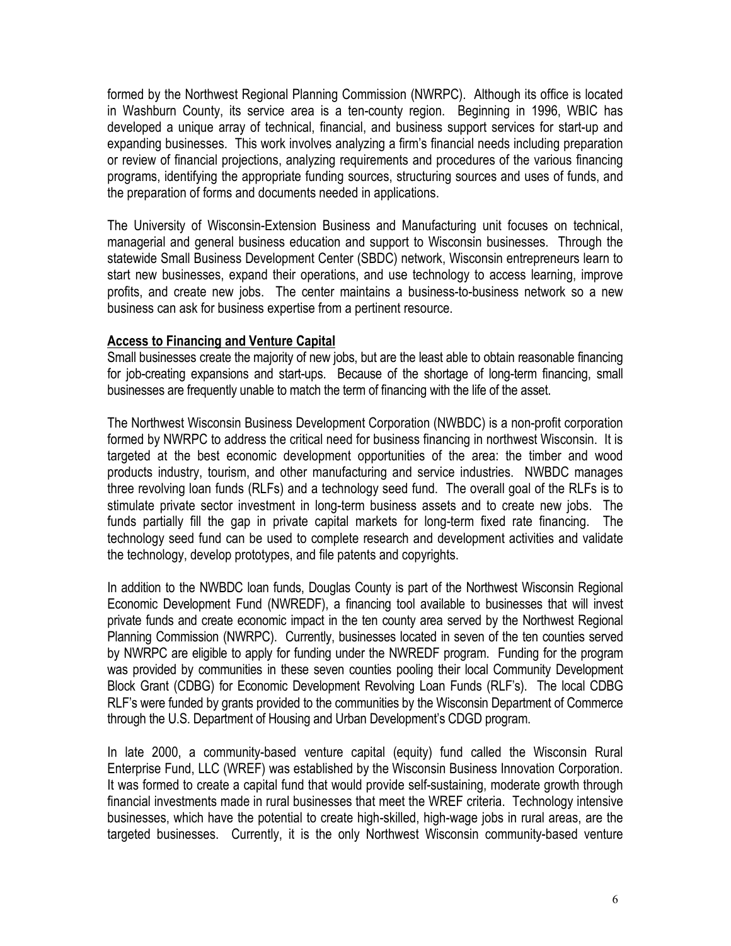formed by the Northwest Regional Planning Commission (NWRPC). Although its office is located in Washburn County, its service area is a ten-county region. Beginning in 1996, WBIC has developed a unique array of technical, financial, and business support services for start-up and expanding businesses. This work involves analyzing a firm's financial needs including preparation or review of financial projections, analyzing requirements and procedures of the various financing programs, identifying the appropriate funding sources, structuring sources and uses of funds, and the preparation of forms and documents needed in applications.

The University of Wisconsin-Extension Business and Manufacturing unit focuses on technical, managerial and general business education and support to Wisconsin businesses. Through the statewide Small Business Development Center (SBDC) network, Wisconsin entrepreneurs learn to start new businesses, expand their operations, and use technology to access learning, improve profits, and create new jobs. The center maintains a business-to-business network so a new business can ask for business expertise from a pertinent resource.

#### **Access to Financing and Venture Capital**

Small businesses create the majority of new jobs, but are the least able to obtain reasonable financing for job-creating expansions and start-ups. Because of the shortage of long-term financing, small businesses are frequently unable to match the term of financing with the life of the asset.

The Northwest Wisconsin Business Development Corporation (NWBDC) is a non-profit corporation formed by NWRPC to address the critical need for business financing in northwest Wisconsin. It is targeted at the best economic development opportunities of the area: the timber and wood products industry, tourism, and other manufacturing and service industries. NWBDC manages three revolving loan funds (RLFs) and a technology seed fund. The overall goal of the RLFs is to stimulate private sector investment in long-term business assets and to create new jobs. The funds partially fill the gap in private capital markets for long-term fixed rate financing. The technology seed fund can be used to complete research and development activities and validate the technology, develop prototypes, and file patents and copyrights.

In addition to the NWBDC loan funds, Douglas County is part of the Northwest Wisconsin Regional Economic Development Fund (NWREDF), a financing tool available to businesses that will invest private funds and create economic impact in the ten county area served by the Northwest Regional Planning Commission (NWRPC). Currently, businesses located in seven of the ten counties served by NWRPC are eligible to apply for funding under the NWREDF program. Funding for the program was provided by communities in these seven counties pooling their local Community Development Block Grant (CDBG) for Economic Development Revolving Loan Funds (RLF's). The local CDBG RLF's were funded by grants provided to the communities by the Wisconsin Department of Commerce through the U.S. Department of Housing and Urban Development's CDGD program.

In late 2000, a community-based venture capital (equity) fund called the Wisconsin Rural Enterprise Fund, LLC (WREF) was established by the Wisconsin Business Innovation Corporation. It was formed to create a capital fund that would provide self-sustaining, moderate growth through financial investments made in rural businesses that meet the WREF criteria. Technology intensive businesses, which have the potential to create high-skilled, high-wage jobs in rural areas, are the targeted businesses. Currently, it is the only Northwest Wisconsin community-based venture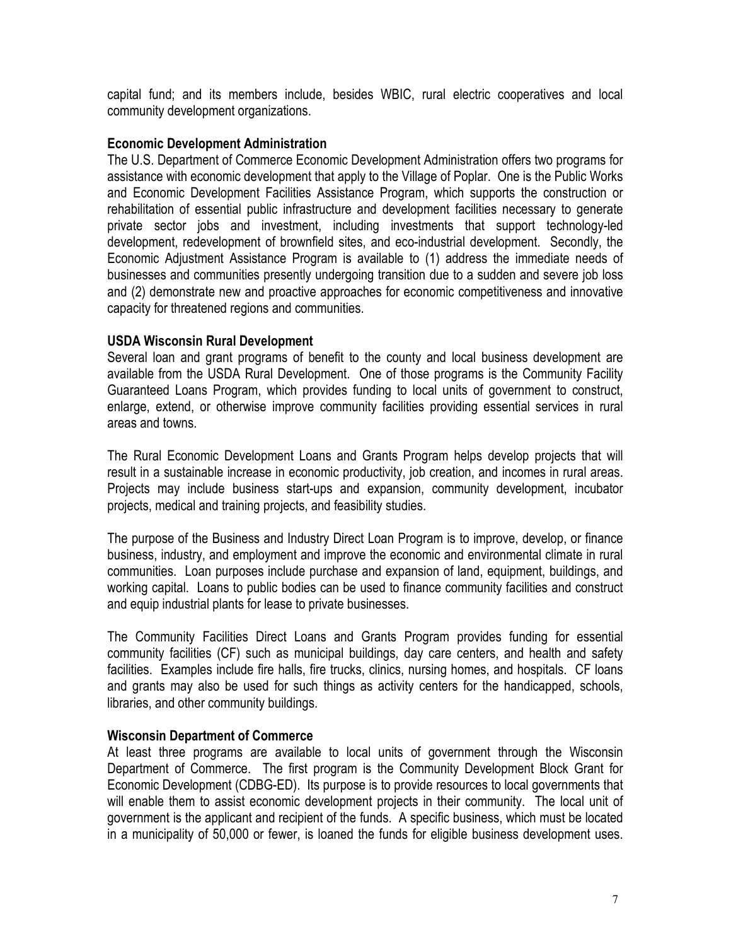capital fund; and its members include, besides WBIC, rural electric cooperatives and local community development organizations.

#### **Economic Development Administration**

The U.S. Department of Commerce Economic Development Administration offers two programs for assistance with economic development that apply to the Village of Poplar. One is the Public Works and Economic Development Facilities Assistance Program, which supports the construction or rehabilitation of essential public infrastructure and development facilities necessary to generate private sector jobs and investment, including investments that support technology-led development, redevelopment of brownfield sites, and eco-industrial development. Secondly, the Economic Adjustment Assistance Program is available to (1) address the immediate needs of businesses and communities presently undergoing transition due to a sudden and severe job loss and (2) demonstrate new and proactive approaches for economic competitiveness and innovative capacity for threatened regions and communities.

#### **USDA Wisconsin Rural Development**

Several loan and grant programs of benefit to the county and local business development are available from the USDA Rural Development. One of those programs is the Community Facility Guaranteed Loans Program, which provides funding to local units of government to construct, enlarge, extend, or otherwise improve community facilities providing essential services in rural areas and towns.

The Rural Economic Development Loans and Grants Program helps develop projects that will result in a sustainable increase in economic productivity, job creation, and incomes in rural areas. Projects may include business start-ups and expansion, community development, incubator projects, medical and training projects, and feasibility studies.

The purpose of the Business and Industry Direct Loan Program is to improve, develop, or finance business, industry, and employment and improve the economic and environmental climate in rural communities. Loan purposes include purchase and expansion of land, equipment, buildings, and working capital. Loans to public bodies can be used to finance community facilities and construct and equip industrial plants for lease to private businesses.

The Community Facilities Direct Loans and Grants Program provides funding for essential community facilities (CF) such as municipal buildings, day care centers, and health and safety facilities. Examples include fire halls, fire trucks, clinics, nursing homes, and hospitals. CF loans and grants may also be used for such things as activity centers for the handicapped, schools, libraries, and other community buildings.

## **Wisconsin Department of Commerce**

At least three programs are available to local units of government through the Wisconsin Department of Commerce. The first program is the Community Development Block Grant for Economic Development (CDBG-ED). Its purpose is to provide resources to local governments that will enable them to assist economic development projects in their community. The local unit of government is the applicant and recipient of the funds. A specific business, which must be located in a municipality of 50,000 or fewer, is loaned the funds for eligible business development uses.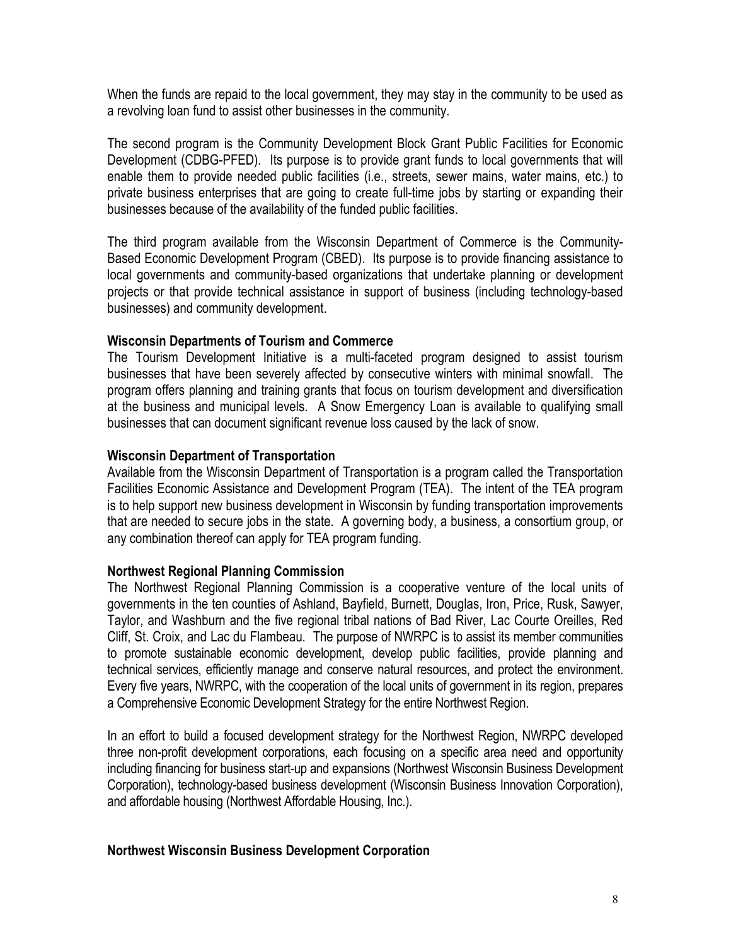When the funds are repaid to the local government, they may stay in the community to be used as a revolving loan fund to assist other businesses in the community.

The second program is the Community Development Block Grant Public Facilities for Economic Development (CDBG-PFED). Its purpose is to provide grant funds to local governments that will enable them to provide needed public facilities (i.e., streets, sewer mains, water mains, etc.) to private business enterprises that are going to create full-time jobs by starting or expanding their businesses because of the availability of the funded public facilities.

The third program available from the Wisconsin Department of Commerce is the Community-Based Economic Development Program (CBED). Its purpose is to provide financing assistance to local governments and community-based organizations that undertake planning or development projects or that provide technical assistance in support of business (including technology-based businesses) and community development.

#### **Wisconsin Departments of Tourism and Commerce**

The Tourism Development Initiative is a multi-faceted program designed to assist tourism businesses that have been severely affected by consecutive winters with minimal snowfall. The program offers planning and training grants that focus on tourism development and diversification at the business and municipal levels. A Snow Emergency Loan is available to qualifying small businesses that can document significant revenue loss caused by the lack of snow.

#### **Wisconsin Department of Transportation**

Available from the Wisconsin Department of Transportation is a program called the Transportation Facilities Economic Assistance and Development Program (TEA). The intent of the TEA program is to help support new business development in Wisconsin by funding transportation improvements that are needed to secure jobs in the state. A governing body, a business, a consortium group, or any combination thereof can apply for TEA program funding.

#### **Northwest Regional Planning Commission**

The Northwest Regional Planning Commission is a cooperative venture of the local units of governments in the ten counties of Ashland, Bayfield, Burnett, Douglas, Iron, Price, Rusk, Sawyer, Taylor, and Washburn and the five regional tribal nations of Bad River, Lac Courte Oreilles, Red Cliff, St. Croix, and Lac du Flambeau. The purpose of NWRPC is to assist its member communities to promote sustainable economic development, develop public facilities, provide planning and technical services, efficiently manage and conserve natural resources, and protect the environment. Every five years, NWRPC, with the cooperation of the local units of government in its region, prepares a Comprehensive Economic Development Strategy for the entire Northwest Region.

In an effort to build a focused development strategy for the Northwest Region, NWRPC developed three non-profit development corporations, each focusing on a specific area need and opportunity including financing for business start-up and expansions (Northwest Wisconsin Business Development Corporation), technology-based business development (Wisconsin Business Innovation Corporation), and affordable housing (Northwest Affordable Housing, Inc.).

#### **Northwest Wisconsin Business Development Corporation**